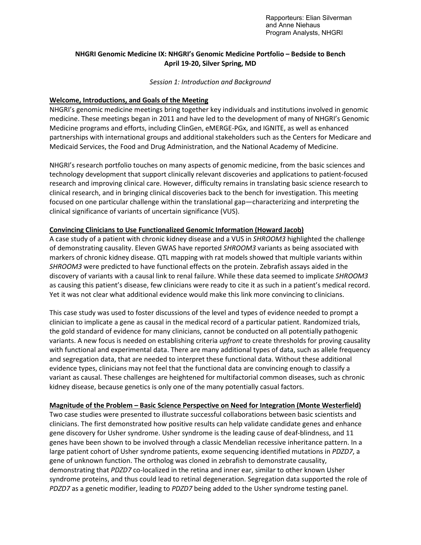Rapporteurs: Elian Silverman and Anne Niehaus Program Analysts, NHGRI

# **NHGRI Genomic Medicine IX: NHGRI's Genomic Medicine Portfolio – Bedside to Bench April 19-20, Silver Spring, MD**

### *Session 1: Introduction and Background*

# **Welcome, Introductions, and Goals of the Meeting**

NHGRI's genomic medicine meetings bring together key individuals and institutions involved in genomic medicine. These meetings began in 2011 and have led to the development of many of NHGRI's Genomic Medicine programs and efforts, including ClinGen, eMERGE-PGx, and IGNITE, as well as enhanced partnerships with international groups and additional stakeholders such as the Centers for Medicare and Medicaid Services, the Food and Drug Administration, and the National Academy of Medicine.

NHGRI's research portfolio touches on many aspects of genomic medicine, from the basic sciences and technology development that support clinically relevant discoveries and applications to patient-focused research and improving clinical care. However, difficulty remains in translating basic science research to clinical research, and in bringing clinical discoveries back to the bench for investigation. This meeting focused on one particular challenge within the translational gap—characterizing and interpreting the clinical significance of variants of uncertain significance (VUS).

# **Convincing Clinicians to Use Functionalized Genomic Information (Howard Jacob)**

A case study of a patient with chronic kidney disease and a VUS in *SHROOM3* highlighted the challenge of demonstrating causality. Eleven GWAS have reported *SHROOM3* variants as being associated with markers of chronic kidney disease. QTL mapping with rat models showed that multiple variants within *SHROOM3* were predicted to have functional effects on the protein. Zebrafish assays aided in the discovery of variants with a causal link to renal failure. While these data seemed to implicate *SHROOM3*  as causing this patient's disease, few clinicians were ready to cite it as such in a patient's medical record. Yet it was not clear what additional evidence would make this link more convincing to clinicians.

This case study was used to foster discussions of the level and types of evidence needed to prompt a clinician to implicate a gene as causal in the medical record of a particular patient. Randomized trials, the gold standard of evidence for many clinicians, cannot be conducted on all potentially pathogenic variants. A new focus is needed on establishing criteria *upfront* to create thresholds for proving causality with functional and experimental data. There are many additional types of data, such as allele frequency and segregation data, that are needed to interpret these functional data. Without these additional evidence types, clinicians may not feel that the functional data are convincing enough to classify a variant as causal. These challenges are heightened for multifactorial common diseases, such as chronic kidney disease, because genetics is only one of the many potentially casual factors.

# **Magnitude of the Problem – Basic Science Perspective on Need for Integration (Monte Westerfield)**

Two case studies were presented to illustrate successful collaborations between basic scientists and clinicians. The first demonstrated how positive results can help validate candidate genes and enhance gene discovery for Usher syndrome. Usher syndrome is the leading cause of deaf-blindness, and 11 genes have been shown to be involved through a classic Mendelian recessive inheritance pattern. In a large patient cohort of Usher syndrome patients, exome sequencing identified mutations in *PDZD7*, a gene of unknown function. The ortholog was cloned in zebrafish to demonstrate causality, demonstrating that *PDZD7* co-localized in the retina and inner ear, similar to other known Usher syndrome proteins, and thus could lead to retinal degeneration. Segregation data supported the role of *PDZD7* as a genetic modifier, leading to *PDZD7* being added to the Usher syndrome testing panel.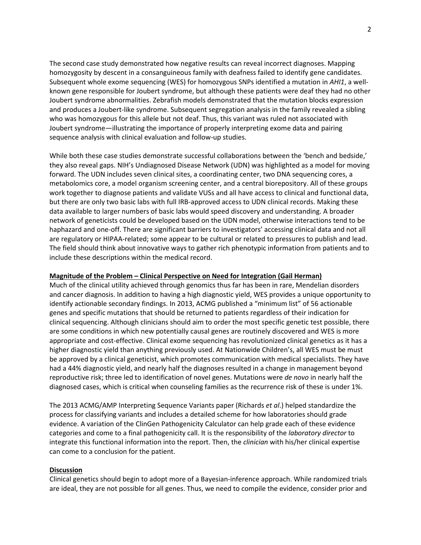The second case study demonstrated how negative results can reveal incorrect diagnoses. Mapping homozygosity by descent in a consanguineous family with deafness failed to identify gene candidates. Subsequent whole exome sequencing (WES) for homozygous SNPs identified a mutation in *AHI1*, a wellknown gene responsible for Joubert syndrome, but although these patients were deaf they had no other Joubert syndrome abnormalities. Zebrafish models demonstrated that the mutation blocks expression and produces a Joubert-like syndrome. Subsequent segregation analysis in the family revealed a sibling who was homozygous for this allele but not deaf. Thus, this variant was ruled not associated with Joubert syndrome—illustrating the importance of properly interpreting exome data and pairing sequence analysis with clinical evaluation and follow-up studies.

While both these case studies demonstrate successful collaborations between the 'bench and bedside,' they also reveal gaps. NIH's Undiagnosed Disease Network (UDN) was highlighted as a model for moving forward. The UDN includes seven clinical sites, a coordinating center, two DNA sequencing cores, a metabolomics core, a model organism screening center, and a central biorepository. All of these groups work together to diagnose patients and validate VUSs and all have access to clinical and functional data, but there are only two basic labs with full IRB-approved access to UDN clinical records. Making these data available to larger numbers of basic labs would speed discovery and understanding. A broader network of geneticists could be developed based on the UDN model, otherwise interactions tend to be haphazard and one-off. There are significant barriers to investigators' accessing clinical data and not all are regulatory or HIPAA-related; some appear to be cultural or related to pressures to publish and lead. The field should think about innovative ways to gather rich phenotypic information from patients and to include these descriptions within the medical record.

# **Magnitude of the Problem – Clinical Perspective on Need for Integration (Gail Herman)**

Much of the clinical utility achieved through genomics thus far has been in rare, Mendelian disorders and cancer diagnosis. In addition to having a high diagnostic yield, WES provides a unique opportunity to identify actionable secondary findings. In 2013, ACMG published a "minimum list" of 56 actionable genes and specific mutations that should be returned to patients regardless of their indication for clinical sequencing. Although clinicians should aim to order the most specific genetic test possible, there are some conditions in which new potentially causal genes are routinely discovered and WES is more appropriate and cost-effective. Clinical exome sequencing has revolutionized clinical genetics as it has a higher diagnostic yield than anything previously used. At Nationwide Children's, all WES must be must be approved by a clinical geneticist, which promotes communication with medical specialists. They have had a 44% diagnostic yield, and nearly half the diagnoses resulted in a change in management beyond reproductive risk; three led to identification of novel genes. Mutations were *de novo* in nearly half the diagnosed cases, which is critical when counseling families as the recurrence risk of these is under 1%.

The 2013 ACMG/AMP Interpreting Sequence Variants paper (Richards *et al*.) helped standardize the process for classifying variants and includes a detailed scheme for how laboratories should grade evidence. A variation of the ClinGen Pathogenicity Calculator can help grade each of these evidence categories and come to a final pathogenicity call. It is the responsibility of the *laboratory director* to integrate this functional information into the report. Then, the *clinician* with his/her clinical expertise can come to a conclusion for the patient.

#### **Discussion**

Clinical genetics should begin to adopt more of a Bayesian-inference approach. While randomized trials are ideal, they are not possible for all genes. Thus, we need to compile the evidence, consider prior and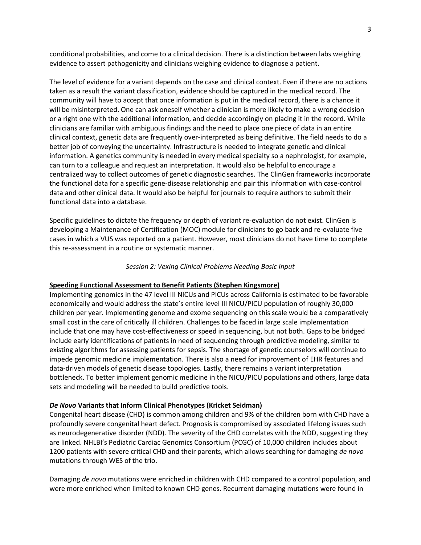conditional probabilities, and come to a clinical decision. There is a distinction between labs weighing evidence to assert pathogenicity and clinicians weighing evidence to diagnose a patient.

The level of evidence for a variant depends on the case and clinical context. Even if there are no actions taken as a result the variant classification, evidence should be captured in the medical record. The community will have to accept that once information is put in the medical record, there is a chance it will be misinterpreted. One can ask oneself whether a clinician is more likely to make a wrong decision or a right one with the additional information, and decide accordingly on placing it in the record. While clinicians are familiar with ambiguous findings and the need to place one piece of data in an entire clinical context, genetic data are frequently over-interpreted as being definitive. The field needs to do a better job of conveying the uncertainty. Infrastructure is needed to integrate genetic and clinical information. A genetics community is needed in every medical specialty so a nephrologist, for example, can turn to a colleague and request an interpretation. It would also be helpful to encourage a centralized way to collect outcomes of genetic diagnostic searches. The ClinGen frameworks incorporate the functional data for a specific gene-disease relationship and pair this information with case-control data and other clinical data. It would also be helpful for journals to require authors to submit their functional data into a database.

Specific guidelines to dictate the frequency or depth of variant re-evaluation do not exist. ClinGen is developing a Maintenance of Certification (MOC) module for clinicians to go back and re-evaluate five cases in which a VUS was reported on a patient. However, most clinicians do not have time to complete this re-assessment in a routine or systematic manner.

#### *Session 2: Vexing Clinical Problems Needing Basic Input*

#### **Speeding Functional Assessment to Benefit Patients (Stephen Kingsmore)**

Implementing genomics in the 47 level III NICUs and PICUs across California is estimated to be favorable economically and would address the state's entire level III NICU/PICU population of roughly 30,000 children per year. Implementing genome and exome sequencing on this scale would be a comparatively small cost in the care of critically ill children. Challenges to be faced in large scale implementation include that one may have cost-effectiveness or speed in sequencing, but not both. Gaps to be bridged include early identifications of patients in need of sequencing through predictive modeling, similar to existing algorithms for assessing patients for sepsis. The shortage of genetic counselors will continue to impede genomic medicine implementation. There is also a need for improvement of EHR features and data-driven models of genetic disease topologies. Lastly, there remains a variant interpretation bottleneck. To better implement genomic medicine in the NICU/PICU populations and others, large data sets and modeling will be needed to build predictive tools.

### *De Novo* **Variants that Inform Clinical Phenotypes (Kricket Seidman)**

Congenital heart disease (CHD) is common among children and 9% of the children born with CHD have a profoundly severe congenital heart defect. Prognosis is compromised by associated lifelong issues such as neurodegenerative disorder (NDD). The severity of the CHD correlates with the NDD, suggesting they are linked. NHLBI's Pediatric Cardiac Genomics Consortium (PCGC) of 10,000 children includes about 1200 patients with severe critical CHD and their parents, which allows searching for damaging *de novo* mutations through WES of the trio.

Damaging *de novo* mutations were enriched in children with CHD compared to a control population, and were more enriched when limited to known CHD genes. Recurrent damaging mutations were found in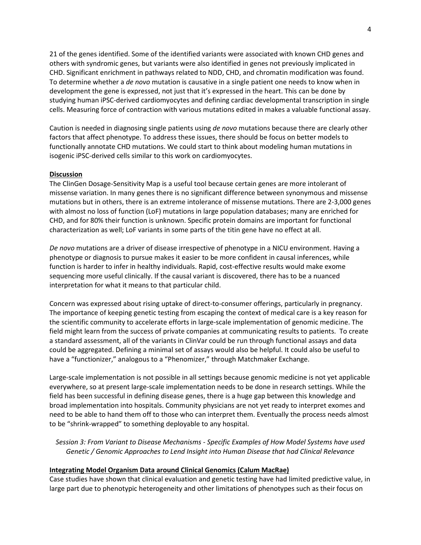21 of the genes identified. Some of the identified variants were associated with known CHD genes and others with syndromic genes, but variants were also identified in genes not previously implicated in CHD. Significant enrichment in pathways related to NDD, CHD, and chromatin modification was found. To determine whether a *de novo* mutation is causative in a single patient one needs to know when in development the gene is expressed, not just that it's expressed in the heart. This can be done by studying human iPSC-derived cardiomyocytes and defining cardiac developmental transcription in single cells. Measuring force of contraction with various mutations edited in makes a valuable functional assay.

Caution is needed in diagnosing single patients using *de novo* mutations because there are clearly other factors that affect phenotype. To address these issues, there should be focus on better models to functionally annotate CHD mutations. We could start to think about modeling human mutations in isogenic iPSC-derived cells similar to this work on cardiomyocytes.

# **Discussion**

The ClinGen Dosage-Sensitivity Map is a useful tool because certain genes are more intolerant of missense variation. In many genes there is no significant difference between synonymous and missense mutations but in others, there is an extreme intolerance of missense mutations. There are 2-3,000 genes with almost no loss of function (LoF) mutations in large population databases; many are enriched for CHD, and for 80% their function is unknown. Specific protein domains are important for functional characterization as well; LoF variants in some parts of the titin gene have no effect at all.

*De novo* mutations are a driver of disease irrespective of phenotype in a NICU environment. Having a phenotype or diagnosis to pursue makes it easier to be more confident in causal inferences, while function is harder to infer in healthy individuals. Rapid, cost-effective results would make exome sequencing more useful clinically. If the causal variant is discovered, there has to be a nuanced interpretation for what it means to that particular child.

Concern was expressed about rising uptake of direct-to-consumer offerings, particularly in pregnancy. The importance of keeping genetic testing from escaping the context of medical care is a key reason for the scientific community to accelerate efforts in large-scale implementation of genomic medicine. The field might learn from the success of private companies at communicating results to patients. To create a standard assessment, all of the variants in ClinVar could be run through functional assays and data could be aggregated. Defining a minimal set of assays would also be helpful. It could also be useful to have a "functionizer," analogous to a "Phenomizer," through Matchmaker Exchange.

Large-scale implementation is not possible in all settings because genomic medicine is not yet applicable everywhere, so at present large-scale implementation needs to be done in research settings. While the field has been successful in defining disease genes, there is a huge gap between this knowledge and broad implementation into hospitals. Community physicians are not yet ready to interpret exomes and need to be able to hand them off to those who can interpret them. Eventually the process needs almost to be "shrink-wrapped" to something deployable to any hospital.

*Session 3: From Variant to Disease Mechanisms - Specific Examples of How Model Systems have used Genetic / Genomic Approaches to Lend Insight into Human Disease that had Clinical Relevance*

# **Integrating Model Organism Data around Clinical Genomics (Calum MacRae)**

Case studies have shown that clinical evaluation and genetic testing have had limited predictive value, in large part due to phenotypic heterogeneity and other limitations of phenotypes such as their focus on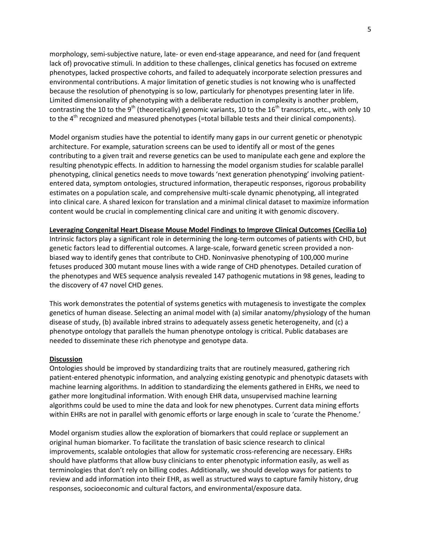morphology, semi-subjective nature, late- or even end-stage appearance, and need for (and frequent lack of) provocative stimuli. In addition to these challenges, clinical genetics has focused on extreme phenotypes, lacked prospective cohorts, and failed to adequately incorporate selection pressures and environmental contributions. A major limitation of genetic studies is not knowing who is unaffected because the resolution of phenotyping is so low, particularly for phenotypes presenting later in life. Limited dimensionality of phenotyping with a deliberate reduction in complexity is another problem, contrasting the 10 to the 9<sup>th</sup> (theoretically) genomic variants, 10 to the 16<sup>th</sup> transcripts, etc., with only 10 to the  $4<sup>th</sup>$  recognized and measured phenotypes (=total billable tests and their clinical components).

Model organism studies have the potential to identify many gaps in our current genetic or phenotypic architecture. For example, saturation screens can be used to identify all or most of the genes contributing to a given trait and reverse genetics can be used to manipulate each gene and explore the resulting phenotypic effects. In addition to harnessing the model organism studies for scalable parallel phenotyping, clinical genetics needs to move towards 'next generation phenotyping' involving patiententered data, symptom ontologies, structured information, therapeutic responses, rigorous probability estimates on a population scale, and comprehensive multi-scale dynamic phenotyping, all integrated into clinical care. A shared lexicon for translation and a minimal clinical dataset to maximize information content would be crucial in complementing clinical care and uniting it with genomic discovery.

**Leveraging Congenital Heart Disease Mouse Model Findings to Improve Clinical Outcomes (Cecilia Lo)** Intrinsic factors play a significant role in determining the long-term outcomes of patients with CHD, but genetic factors lead to differential outcomes. A large-scale, forward genetic screen provided a nonbiased way to identify genes that contribute to CHD. Noninvasive phenotyping of 100,000 murine fetuses produced 300 mutant mouse lines with a wide range of CHD phenotypes. Detailed curation of the phenotypes and WES sequence analysis revealed 147 pathogenic mutations in 98 genes, leading to the discovery of 47 novel CHD genes.

This work demonstrates the potential of systems genetics with mutagenesis to investigate the complex genetics of human disease. Selecting an animal model with (a) similar anatomy/physiology of the human disease of study, (b) available inbred strains to adequately assess genetic heterogeneity, and (c) a phenotype ontology that parallels the human phenotype ontology is critical. Public databases are needed to disseminate these rich phenotype and genotype data.

# **Discussion**

Ontologies should be improved by standardizing traits that are routinely measured, gathering rich patient-entered phenotypic information, and analyzing existing genotypic and phenotypic datasets with machine learning algorithms. In addition to standardizing the elements gathered in EHRs, we need to gather more longitudinal information. With enough EHR data, unsupervised machine learning algorithms could be used to mine the data and look for new phenotypes. Current data mining efforts within EHRs are not in parallel with genomic efforts or large enough in scale to 'curate the Phenome.'

Model organism studies allow the exploration of biomarkers that could replace or supplement an original human biomarker. To facilitate the translation of basic science research to clinical improvements, scalable ontologies that allow for systematic cross-referencing are necessary. EHRs should have platforms that allow busy clinicians to enter phenotypic information easily, as well as terminologies that don't rely on billing codes. Additionally, we should develop ways for patients to review and add information into their EHR, as well as structured ways to capture family history, drug responses, socioeconomic and cultural factors, and environmental/exposure data.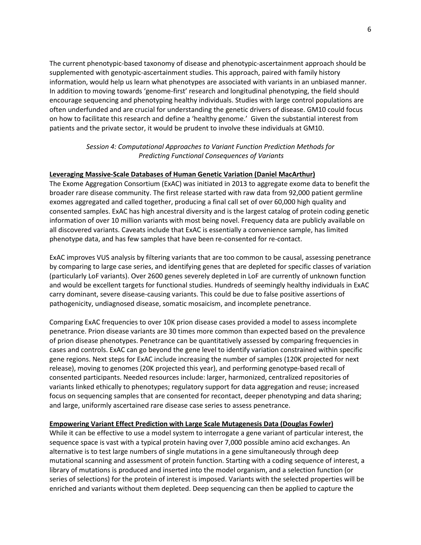The current phenotypic-based taxonomy of disease and phenotypic-ascertainment approach should be supplemented with genotypic-ascertainment studies. This approach, paired with family history information, would help us learn what phenotypes are associated with variants in an unbiased manner. In addition to moving towards 'genome-first' research and longitudinal phenotyping, the field should encourage sequencing and phenotyping healthy individuals. Studies with large control populations are often underfunded and are crucial for understanding the genetic drivers of disease. GM10 could focus on how to facilitate this research and define a 'healthy genome.' Given the substantial interest from patients and the private sector, it would be prudent to involve these individuals at GM10.

# *Session 4: Computational Approaches to Variant Function Prediction Methods for Predicting Functional Consequences of Variants*

# **Leveraging Massive-Scale Databases of Human Genetic Variation (Daniel MacArthur)**

The Exome Aggregation Consortium (ExAC) was initiated in 2013 to aggregate exome data to benefit the broader rare disease community. The first release started with raw data from 92,000 patient germline exomes aggregated and called together, producing a final call set of over 60,000 high quality and consented samples. ExAC has high ancestral diversity and is the largest catalog of protein coding genetic information of over 10 million variants with most being novel. Frequency data are publicly available on all discovered variants. Caveats include that ExAC is essentially a convenience sample, has limited phenotype data, and has few samples that have been re-consented for re-contact.

ExAC improves VUS analysis by filtering variants that are too common to be causal, assessing penetrance by comparing to large case series, and identifying genes that are depleted for specific classes of variation (particularly LoF variants). Over 2600 genes severely depleted in LoF are currently of unknown function and would be excellent targets for functional studies. Hundreds of seemingly healthy individuals in ExAC carry dominant, severe disease-causing variants. This could be due to false positive assertions of pathogenicity, undiagnosed disease, somatic mosaicism, and incomplete penetrance.

Comparing ExAC frequencies to over 10K prion disease cases provided a model to assess incomplete penetrance. Prion disease variants are 30 times more common than expected based on the prevalence of prion disease phenotypes. Penetrance can be quantitatively assessed by comparing frequencies in cases and controls. ExAC can go beyond the gene level to identify variation constrained within specific gene regions. Next steps for ExAC include increasing the number of samples (120K projected for next release), moving to genomes (20K projected this year), and performing genotype-based recall of consented participants. Needed resources include: larger, harmonized, centralized repositories of variants linked ethically to phenotypes; regulatory support for data aggregation and reuse; increased focus on sequencing samples that are consented for recontact, deeper phenotyping and data sharing; and large, uniformly ascertained rare disease case series to assess penetrance.

# **Empowering Variant Effect Prediction with Large Scale Mutagenesis Data (Douglas Fowler)**

While it can be effective to use a model system to interrogate a gene variant of particular interest, the sequence space is vast with a typical protein having over 7,000 possible amino acid exchanges. An alternative is to test large numbers of single mutations in a gene simultaneously through deep mutational scanning and assessment of protein function. Starting with a coding sequence of interest, a library of mutations is produced and inserted into the model organism, and a selection function (or series of selections) for the protein of interest is imposed. Variants with the selected properties will be enriched and variants without them depleted. Deep sequencing can then be applied to capture the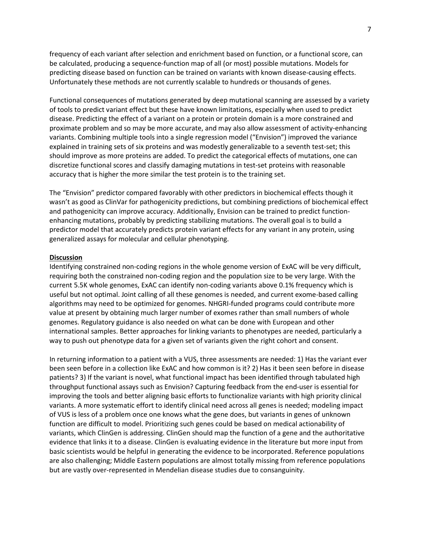frequency of each variant after selection and enrichment based on function, or a functional score, can be calculated, producing a sequence-function map of all (or most) possible mutations. Models for predicting disease based on function can be trained on variants with known disease-causing effects. Unfortunately these methods are not currently scalable to hundreds or thousands of genes.

Functional consequences of mutations generated by deep mutational scanning are assessed by a variety of tools to predict variant effect but these have known limitations, especially when used to predict disease. Predicting the effect of a variant on a protein or protein domain is a more constrained and proximate problem and so may be more accurate, and may also allow assessment of activity-enhancing variants. Combining multiple tools into a single regression model ("Envision") improved the variance explained in training sets of six proteins and was modestly generalizable to a seventh test-set; this should improve as more proteins are added. To predict the categorical effects of mutations, one can discretize functional scores and classify damaging mutations in test-set proteins with reasonable accuracy that is higher the more similar the test protein is to the training set.

The "Envision" predictor compared favorably with other predictors in biochemical effects though it wasn't as good as ClinVar for pathogenicity predictions, but combining predictions of biochemical effect and pathogenicity can improve accuracy. Additionally, Envision can be trained to predict functionenhancing mutations, probably by predicting stabilizing mutations. The overall goal is to build a predictor model that accurately predicts protein variant effects for any variant in any protein, using generalized assays for molecular and cellular phenotyping.

### **Discussion**

Identifying constrained non-coding regions in the whole genome version of ExAC will be very difficult, requiring both the constrained non-coding region and the population size to be very large. With the current 5.5K whole genomes, ExAC can identify non-coding variants above 0.1% frequency which is useful but not optimal. Joint calling of all these genomes is needed, and current exome-based calling algorithms may need to be optimized for genomes. NHGRI-funded programs could contribute more value at present by obtaining much larger number of exomes rather than small numbers of whole genomes. Regulatory guidance is also needed on what can be done with European and other international samples. Better approaches for linking variants to phenotypes are needed, particularly a way to push out phenotype data for a given set of variants given the right cohort and consent.

In returning information to a patient with a VUS, three assessments are needed: 1) Has the variant ever been seen before in a collection like ExAC and how common is it? 2) Has it been seen before in disease patients? 3) If the variant is novel, what functional impact has been identified through tabulated high throughput functional assays such as Envision? Capturing feedback from the end-user is essential for improving the tools and better aligning basic efforts to functionalize variants with high priority clinical variants. A more systematic effort to identify clinical need across all genes is needed; modeling impact of VUS is less of a problem once one knows what the gene does, but variants in genes of unknown function are difficult to model. Prioritizing such genes could be based on medical actionability of variants, which ClinGen is addressing. ClinGen should map the function of a gene and the authoritative evidence that links it to a disease. ClinGen is evaluating evidence in the literature but more input from basic scientists would be helpful in generating the evidence to be incorporated. Reference populations are also challenging; Middle Eastern populations are almost totally missing from reference populations but are vastly over-represented in Mendelian disease studies due to consanguinity.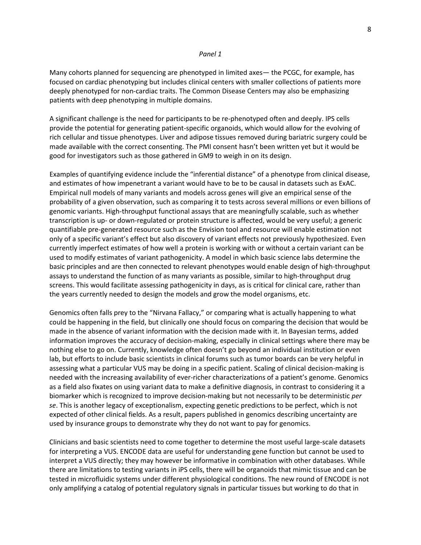#### *Panel 1*

Many cohorts planned for sequencing are phenotyped in limited axes— the PCGC, for example, has focused on cardiac phenotyping but includes clinical centers with smaller collections of patients more deeply phenotyped for non-cardiac traits. The Common Disease Centers may also be emphasizing patients with deep phenotyping in multiple domains.

A significant challenge is the need for participants to be re-phenotyped often and deeply. IPS cells provide the potential for generating patient-specific organoids, which would allow for the evolving of rich cellular and tissue phenotypes. Liver and adipose tissues removed during bariatric surgery could be made available with the correct consenting. The PMI consent hasn't been written yet but it would be good for investigators such as those gathered in GM9 to weigh in on its design.

Examples of quantifying evidence include the "inferential distance" of a phenotype from clinical disease, and estimates of how impenetrant a variant would have to be to be causal in datasets such as ExAC. Empirical null models of many variants and models across genes will give an empirical sense of the probability of a given observation, such as comparing it to tests across several millions or even billions of genomic variants. High-throughput functional assays that are meaningfully scalable, such as whether transcription is up- or down-regulated or protein structure is affected, would be very useful; a generic quantifiable pre-generated resource such as the Envision tool and resource will enable estimation not only of a specific variant's effect but also discovery of variant effects not previously hypothesized. Even currently imperfect estimates of how well a protein is working with or without a certain variant can be used to modify estimates of variant pathogenicity. A model in which basic science labs determine the basic principles and are then connected to relevant phenotypes would enable design of high-throughput assays to understand the function of as many variants as possible, similar to high-throughput drug screens. This would facilitate assessing pathogenicity in days, as is critical for clinical care, rather than the years currently needed to design the models and grow the model organisms, etc.

Genomics often falls prey to the "Nirvana Fallacy," or comparing what is actually happening to what could be happening in the field, but clinically one should focus on comparing the decision that would be made in the absence of variant information with the decision made with it. In Bayesian terms, added information improves the accuracy of decision-making, especially in clinical settings where there may be nothing else to go on. Currently, knowledge often doesn't go beyond an individual institution or even lab, but efforts to include basic scientists in clinical forums such as tumor boards can be very helpful in assessing what a particular VUS may be doing in a specific patient. Scaling of clinical decision-making is needed with the increasing availability of ever-richer characterizations of a patient's genome. Genomics as a field also fixates on using variant data to make a definitive diagnosis, in contrast to considering it a biomarker which is recognized to improve decision-making but not necessarily to be deterministic *per se*. This is another legacy of exceptionalism, expecting genetic predictions to be perfect, which is not expected of other clinical fields. As a result, papers published in genomics describing uncertainty are used by insurance groups to demonstrate why they do not want to pay for genomics.

Clinicians and basic scientists need to come together to determine the most useful large-scale datasets for interpreting a VUS. ENCODE data are useful for understanding gene function but cannot be used to interpret a VUS directly; they may however be informative in combination with other databases. While there are limitations to testing variants in iPS cells, there will be organoids that mimic tissue and can be tested in microfluidic systems under different physiological conditions. The new round of ENCODE is not only amplifying a catalog of potential regulatory signals in particular tissues but working to do that in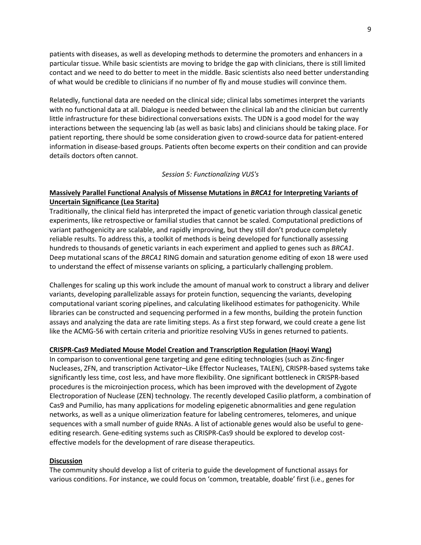patients with diseases, as well as developing methods to determine the promoters and enhancers in a particular tissue. While basic scientists are moving to bridge the gap with clinicians, there is still limited contact and we need to do better to meet in the middle. Basic scientists also need better understanding of what would be credible to clinicians if no number of fly and mouse studies will convince them.

Relatedly, functional data are needed on the clinical side; clinical labs sometimes interpret the variants with no functional data at all. Dialogue is needed between the clinical lab and the clinician but currently little infrastructure for these bidirectional conversations exists. The UDN is a good model for the way interactions between the sequencing lab (as well as basic labs) and clinicians should be taking place. For patient reporting, there should be some consideration given to crowd-source data for patient-entered information in disease-based groups. Patients often become experts on their condition and can provide details doctors often cannot.

# *Session 5: Functionalizing VUS's*

# **Massively Parallel Functional Analysis of Missense Mutations in** *BRCA1* **for Interpreting Variants of Uncertain Significance (Lea Starita)**

Traditionally, the clinical field has interpreted the impact of genetic variation through classical genetic experiments, like retrospective or familial studies that cannot be scaled. Computational predictions of variant pathogenicity are scalable, and rapidly improving, but they still don't produce completely reliable results. To address this, a toolkit of methods is being developed for functionally assessing hundreds to thousands of genetic variants in each experiment and applied to genes such as *BRCA1*. Deep mutational scans of the *BRCA1* RING domain and saturation genome editing of exon 18 were used to understand the effect of missense variants on splicing, a particularly challenging problem.

Challenges for scaling up this work include the amount of manual work to construct a library and deliver variants, developing parallelizable assays for protein function, sequencing the variants, developing computational variant scoring pipelines, and calculating likelihood estimates for pathogenicity. While libraries can be constructed and sequencing performed in a few months, building the protein function assays and analyzing the data are rate limiting steps. As a first step forward, we could create a gene list like the ACMG-56 with certain criteria and prioritize resolving VUSs in genes returned to patients.

# **CRISPR-Cas9 Mediated Mouse Model Creation and Transcription Regulation (Haoyi Wang)**

In comparison to conventional gene targeting and gene editing technologies (such as Zinc-finger Nucleases, ZFN, and transcription Activator–Like Effector Nucleases, TALEN), CRISPR-based systems take significantly less time, cost less, and have more flexibility. One significant bottleneck in CRISPR-based procedures is the microinjection process, which has been improved with the development of Zygote Electroporation of Nuclease (ZEN) technology. The recently developed Casilio platform, a combination of Cas9 and Pumilio, has many applications for modeling epigenetic abnormalities and gene regulation networks, as well as a unique olimerization feature for labeling centromeres, telomeres, and unique sequences with a small number of guide RNAs. A list of actionable genes would also be useful to geneediting research. Gene-editing systems such as CRISPR-Cas9 should be explored to develop costeffective models for the development of rare disease therapeutics.

#### **Discussion**

The community should develop a list of criteria to guide the development of functional assays for various conditions. For instance, we could focus on 'common, treatable, doable' first (i.e., genes for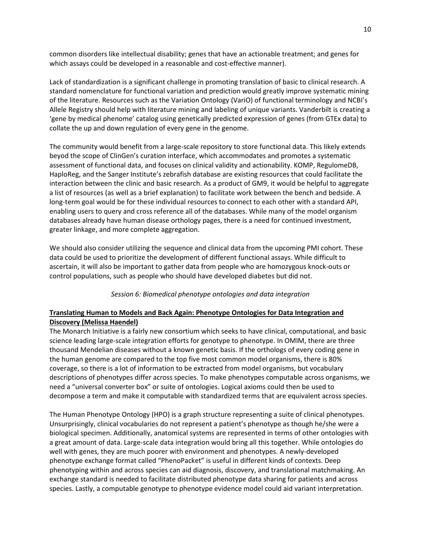common disorders like intellectual disability; genes that have an actionable treatment; and genes for which assays could be developed in a reasonable and cost-effective manner).

Lack of standardization is a significant challenge in promoting translation of basic to clinical research. A standard nomenclature for functional variation and prediction would greatly improve systematic mining of the literature. Resources such as the Variation Ontology (VariO) of functional terminology and NCBI's Allele Registry should help with literature mining and labeling of unique variants. Vanderbilt is creating a 'gene by medical phenome' catalog using genetically predicted expression of genes (from GTEx data) to collate the up and down regulation of every gene in the genome.

The community would benefit from a large-scale repository to store functional data. This likely extends beyod the scope of ClinGen's curation interface, which accommodates and promotes a systematic assessment of functional data, and focuses on clinical validity and actionability. KOMP, RegulomeDB, HaploReg, and the Sanger Institute's zebrafish database are existing resources that could facilitate the interaction between the clinic and basic research. As a product of GM9, it would be helpful to aggregate a list of resources (as well as a brief explanation) to facilitate work between the bench and bedside. A long-term goal would be for these individual resources to connect to each other with a standard API, enabling users to query and cross reference all of the databases. While many of the model organism databases already have human disease orthology pages, there is a need for continued investment, greater linkage, and more complete aggregation.

We should also consider utilizing the sequence and clinical data from the upcoming PMI cohort. These data could be used to prioritize the development of different functional assays. While difficult to ascertain, it will also be important to gather data from people who are homozygous knock-outs or control populations, such as people who should have developed diabetes but did not.

# *Session 6: Biomedical phenotype ontologies and data integration*

# **Translating Human to Models and Back Again: Phenotype Ontologies for Data Integration and Discovery (Melissa Haendel)**

The Monarch Initiative is a fairly new consortium which seeks to have clinical, computational, and basic science leading large-scale integration efforts for genotype to phenotype. In OMIM, there are three thousand Mendelian diseases without a known genetic basis. If the orthologs of every coding gene in the human genome are compared to the top five most common model organisms, there is 80% coverage, so there is a lot of information to be extracted from model organisms, but vocabulary descriptions of phenotypes differ across species. To make phenotypes computable across organisms, we need a "universal converter box" or suite of ontologies. Logical axioms could then be used to decompose a term and make it computable with standardized terms that are equivalent across species.

The Human Phenotype Ontology (HPO) is a graph structure representing a suite of clinical phenotypes. Unsurprisingly, clinical vocabularies do not represent a patient's phenotype as though he/she were a biological specimen. Additionally, anatomical systems are represented in terms of other ontologies with a great amount of data. Large-scale data integration would bring all this together. While ontologies do well with genes, they are much poorer with environment and phenotypes. A newly-developed phenotype exchange format called "PhenoPacket" is useful in different kinds of contexts. Deep phenotyping within and across species can aid diagnosis, discovery, and translational matchmaking. An exchange standard is needed to facilitate distributed phenotype data sharing for patients and across species. Lastly, a computable genotype to phenotype evidence model could aid variant interpretation.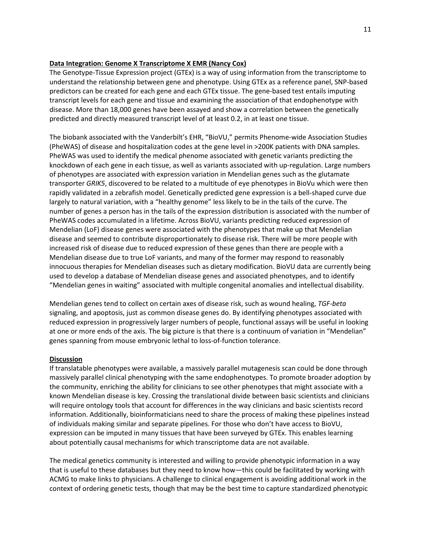# **Data Integration: Genome X Transcriptome X EMR (Nancy Cox)**

The Genotype-Tissue Expression project (GTEx) is a way of using information from the transcriptome to understand the relationship between gene and phenotype. Using GTEx as a reference panel, SNP-based predictors can be created for each gene and each GTEx tissue. The gene-based test entails imputing transcript levels for each gene and tissue and examining the association of that endophenotype with disease. More than 18,000 genes have been assayed and show a correlation between the genetically predicted and directly measured transcript level of at least 0.2, in at least one tissue.

The biobank associated with the Vanderbilt's EHR, "BioVU," permits Phenome-wide Association Studies (PheWAS) of disease and hospitalization codes at the gene level in >200K patients with DNA samples. PheWAS was used to identify the medical phenome associated with genetic variants predicting the knockdown of each gene in each tissue, as well as variants associated with up-regulation. Large numbers of phenotypes are associated with expression variation in Mendelian genes such as the glutamate transporter *GRIK5*, discovered to be related to a multitude of eye phenotypes in BioVu which were then rapidly validated in a zebrafish model. Genetically predicted gene expression is a bell-shaped curve due largely to natural variation, with a "healthy genome" less likely to be in the tails of the curve. The number of genes a person has in the tails of the expression distribution is associated with the number of PheWAS codes accumulated in a lifetime. Across BioVU, variants predicting reduced expression of Mendelian (LoF) disease genes were associated with the phenotypes that make up that Mendelian disease and seemed to contribute disproportionately to disease risk. There will be more people with increased risk of disease due to reduced expression of these genes than there are people with a Mendelian disease due to true LoF variants, and many of the former may respond to reasonably innocuous therapies for Mendelian diseases such as dietary modification. BioVU data are currently being used to develop a database of Mendelian disease genes and associated phenotypes, and to identify "Mendelian genes in waiting" associated with multiple congenital anomalies and intellectual disability.

Mendelian genes tend to collect on certain axes of disease risk, such as wound healing, *TGF-beta*  signaling, and apoptosis, just as common disease genes do. By identifying phenotypes associated with reduced expression in progressively larger numbers of people, functional assays will be useful in looking at one or more ends of the axis. The big picture is that there is a continuum of variation in "Mendelian" genes spanning from mouse embryonic lethal to loss-of-function tolerance.

# **Discussion**

If translatable phenotypes were available, a massively parallel mutagenesis scan could be done through massively parallel clinical phenotyping with the same endophenotypes. To promote broader adoption by the community, enriching the ability for clinicians to see other phenotypes that might associate with a known Mendelian disease is key. Crossing the translational divide between basic scientists and clinicians will require ontology tools that account for differences in the way clinicians and basic scientists record information. Additionally, bioinformaticians need to share the process of making these pipelines instead of individuals making similar and separate pipelines. For those who don't have access to BioVU, expression can be imputed in many tissues that have been surveyed by GTEx. This enables learning about potentially causal mechanisms for which transcriptome data are not available.

The medical genetics community is interested and willing to provide phenotypic information in a way that is useful to these databases but they need to know how—this could be facilitated by working with ACMG to make links to physicians. A challenge to clinical engagement is avoiding additional work in the context of ordering genetic tests, though that may be the best time to capture standardized phenotypic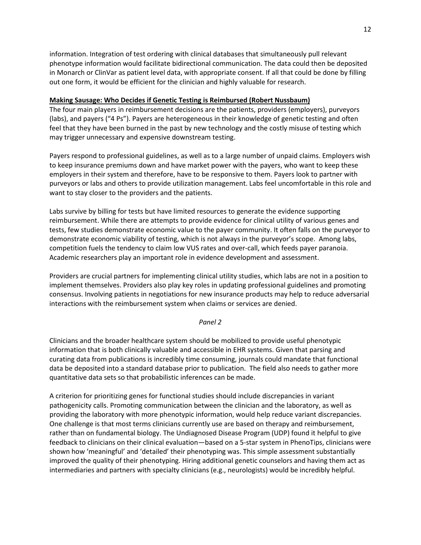information. Integration of test ordering with clinical databases that simultaneously pull relevant phenotype information would facilitate bidirectional communication. The data could then be deposited in Monarch or ClinVar as patient level data, with appropriate consent. If all that could be done by filling out one form, it would be efficient for the clinician and highly valuable for research.

# **Making Sausage: Who Decides if Genetic Testing is Reimbursed (Robert Nussbaum)**

The four main players in reimbursement decisions are the patients, providers (employers), purveyors (labs), and payers ("4 Ps"). Payers are heterogeneous in their knowledge of genetic testing and often feel that they have been burned in the past by new technology and the costly misuse of testing which may trigger unnecessary and expensive downstream testing.

Payers respond to professional guidelines, as well as to a large number of unpaid claims. Employers wish to keep insurance premiums down and have market power with the payers, who want to keep these employers in their system and therefore, have to be responsive to them. Payers look to partner with purveyors or labs and others to provide utilization management. Labs feel uncomfortable in this role and want to stay closer to the providers and the patients.

Labs survive by billing for tests but have limited resources to generate the evidence supporting reimbursement. While there are attempts to provide evidence for clinical utility of various genes and tests, few studies demonstrate economic value to the payer community. It often falls on the purveyor to demonstrate economic viability of testing, which is not always in the purveyor's scope. Among labs, competition fuels the tendency to claim low VUS rates and over-call, which feeds payer paranoia. Academic researchers play an important role in evidence development and assessment.

Providers are crucial partners for implementing clinical utility studies, which labs are not in a position to implement themselves. Providers also play key roles in updating professional guidelines and promoting consensus. Involving patients in negotiations for new insurance products may help to reduce adversarial interactions with the reimbursement system when claims or services are denied.

# *Panel 2*

Clinicians and the broader healthcare system should be mobilized to provide useful phenotypic information that is both clinically valuable and accessible in EHR systems. Given that parsing and curating data from publications is incredibly time consuming, journals could mandate that functional data be deposited into a standard database prior to publication. The field also needs to gather more quantitative data sets so that probabilistic inferences can be made.

A criterion for prioritizing genes for functional studies should include discrepancies in variant pathogenicity calls. Promoting communication between the clinician and the laboratory, as well as providing the laboratory with more phenotypic information, would help reduce variant discrepancies. One challenge is that most terms clinicians currently use are based on therapy and reimbursement, rather than on fundamental biology. The Undiagnosed Disease Program (UDP) found it helpful to give feedback to clinicians on their clinical evaluation—based on a 5-star system in PhenoTips, clinicians were shown how 'meaningful' and 'detailed' their phenotyping was. This simple assessment substantially improved the quality of their phenotyping. Hiring additional genetic counselors and having them act as intermediaries and partners with specialty clinicians (e.g., neurologists) would be incredibly helpful.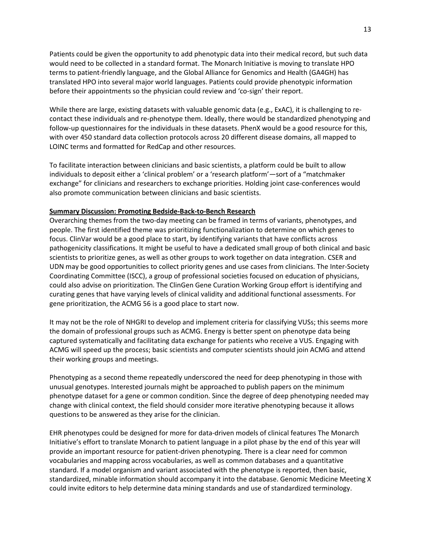Patients could be given the opportunity to add phenotypic data into their medical record, but such data would need to be collected in a standard format. The Monarch Initiative is moving to translate HPO terms to patient-friendly language, and the Global Alliance for Genomics and Health (GA4GH) has translated HPO into several major world languages. Patients could provide phenotypic information before their appointments so the physician could review and 'co-sign' their report.

While there are large, existing datasets with valuable genomic data (e.g., ExAC), it is challenging to recontact these individuals and re-phenotype them. Ideally, there would be standardized phenotyping and follow-up questionnaires for the individuals in these datasets. PhenX would be a good resource for this, with over 450 standard data collection protocols across 20 different disease domains, all mapped to LOINC terms and formatted for RedCap and other resources.

To facilitate interaction between clinicians and basic scientists, a platform could be built to allow individuals to deposit either a 'clinical problem' or a 'research platform'—sort of a "matchmaker exchange" for clinicians and researchers to exchange priorities. Holding joint case-conferences would also promote communication between clinicians and basic scientists.

# **Summary Discussion: Promoting Bedside-Back-to-Bench Research**

Overarching themes from the two-day meeting can be framed in terms of variants, phenotypes, and people. The first identified theme was prioritizing functionalization to determine on which genes to focus. ClinVar would be a good place to start, by identifying variants that have conflicts across pathogenicity classifications. It might be useful to have a dedicated small group of both clinical and basic scientists to prioritize genes, as well as other groups to work together on data integration. CSER and UDN may be good opportunities to collect priority genes and use cases from clinicians. The Inter-Society Coordinating Committee (ISCC), a group of professional societies focused on education of physicians, could also advise on prioritization. The ClinGen Gene Curation Working Group effort is identifying and curating genes that have varying levels of clinical validity and additional functional assessments. For gene prioritization, the ACMG 56 is a good place to start now.

It may not be the role of NHGRI to develop and implement criteria for classifying VUSs; this seems more the domain of professional groups such as ACMG. Energy is better spent on phenotype data being captured systematically and facilitating data exchange for patients who receive a VUS. Engaging with ACMG will speed up the process; basic scientists and computer scientists should join ACMG and attend their working groups and meetings.

Phenotyping as a second theme repeatedly underscored the need for deep phenotyping in those with unusual genotypes. Interested journals might be approached to publish papers on the minimum phenotype dataset for a gene or common condition. Since the degree of deep phenotyping needed may change with clinical context, the field should consider more iterative phenotyping because it allows questions to be answered as they arise for the clinician.

EHR phenotypes could be designed for more for data-driven models of clinical features The Monarch Initiative's effort to translate Monarch to patient language in a pilot phase by the end of this year will provide an important resource for patient-driven phenotyping. There is a clear need for common vocabularies and mapping across vocabularies, as well as common databases and a quantitative standard. If a model organism and variant associated with the phenotype is reported, then basic, standardized, minable information should accompany it into the database. Genomic Medicine Meeting X could invite editors to help determine data mining standards and use of standardized terminology.